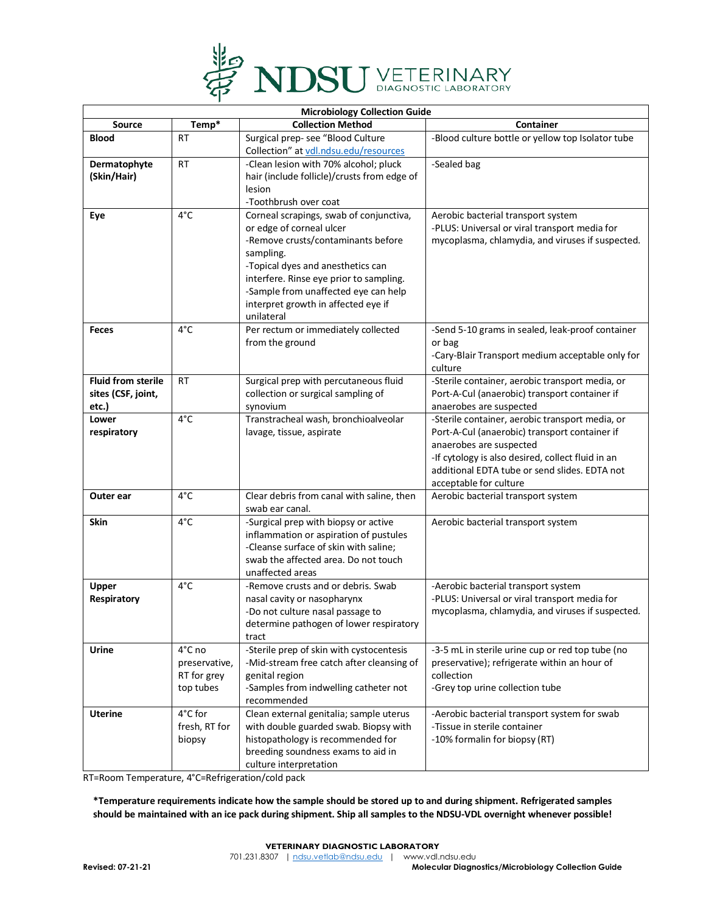

| <b>Microbiology Collection Guide</b> |               |                                                   |                                                                                                    |  |  |  |
|--------------------------------------|---------------|---------------------------------------------------|----------------------------------------------------------------------------------------------------|--|--|--|
| <b>Source</b>                        | Temp*         | <b>Collection Method</b>                          | Container                                                                                          |  |  |  |
| <b>Blood</b>                         | <b>RT</b>     | Surgical prep- see "Blood Culture                 | -Blood culture bottle or yellow top Isolator tube                                                  |  |  |  |
|                                      |               | Collection" at vdl.ndsu.edu/resources             |                                                                                                    |  |  |  |
| Dermatophyte                         | <b>RT</b>     | -Clean lesion with 70% alcohol; pluck             | -Sealed bag                                                                                        |  |  |  |
| (Skin/Hair)                          |               | hair (include follicle)/crusts from edge of       |                                                                                                    |  |  |  |
|                                      |               | lesion                                            |                                                                                                    |  |  |  |
|                                      |               | -Toothbrush over coat                             |                                                                                                    |  |  |  |
| Eye                                  | 4°C           | Corneal scrapings, swab of conjunctiva,           | Aerobic bacterial transport system                                                                 |  |  |  |
|                                      |               | or edge of corneal ulcer                          | -PLUS: Universal or viral transport media for                                                      |  |  |  |
|                                      |               | -Remove crusts/contaminants before                | mycoplasma, chlamydia, and viruses if suspected.                                                   |  |  |  |
|                                      |               | sampling.<br>-Topical dyes and anesthetics can    |                                                                                                    |  |  |  |
|                                      |               | interfere. Rinse eye prior to sampling.           |                                                                                                    |  |  |  |
|                                      |               | -Sample from unaffected eye can help              |                                                                                                    |  |  |  |
|                                      |               | interpret growth in affected eye if               |                                                                                                    |  |  |  |
|                                      |               | unilateral                                        |                                                                                                    |  |  |  |
| <b>Feces</b>                         | $4^{\circ}$ C | Per rectum or immediately collected               | -Send 5-10 grams in sealed, leak-proof container                                                   |  |  |  |
|                                      |               | from the ground                                   | or bag                                                                                             |  |  |  |
|                                      |               |                                                   | -Cary-Blair Transport medium acceptable only for                                                   |  |  |  |
|                                      |               |                                                   | culture                                                                                            |  |  |  |
| <b>Fluid from sterile</b>            | <b>RT</b>     | Surgical prep with percutaneous fluid             | -Sterile container, aerobic transport media, or                                                    |  |  |  |
| sites (CSF, joint,                   |               | collection or surgical sampling of                | Port-A-Cul (anaerobic) transport container if                                                      |  |  |  |
| etc.)                                |               | synovium                                          | anaerobes are suspected                                                                            |  |  |  |
| Lower                                | 4°C           | Transtracheal wash, bronchioalveolar              | -Sterile container, aerobic transport media, or                                                    |  |  |  |
| respiratory                          |               | lavage, tissue, aspirate                          | Port-A-Cul (anaerobic) transport container if                                                      |  |  |  |
|                                      |               |                                                   | anaerobes are suspected                                                                            |  |  |  |
|                                      |               |                                                   | -If cytology is also desired, collect fluid in an<br>additional EDTA tube or send slides. EDTA not |  |  |  |
|                                      |               |                                                   | acceptable for culture                                                                             |  |  |  |
| Outer ear                            | 4°C           | Clear debris from canal with saline, then         | Aerobic bacterial transport system                                                                 |  |  |  |
|                                      |               | swab ear canal.                                   |                                                                                                    |  |  |  |
| <b>Skin</b>                          | $4^{\circ}$ C | -Surgical prep with biopsy or active              | Aerobic bacterial transport system                                                                 |  |  |  |
|                                      |               | inflammation or aspiration of pustules            |                                                                                                    |  |  |  |
|                                      |               | -Cleanse surface of skin with saline;             |                                                                                                    |  |  |  |
|                                      |               | swab the affected area. Do not touch              |                                                                                                    |  |  |  |
|                                      |               | unaffected areas                                  |                                                                                                    |  |  |  |
| Upper                                | 4°C           | -Remove crusts and or debris. Swab                | -Aerobic bacterial transport system                                                                |  |  |  |
| Respiratory                          |               | nasal cavity or nasopharynx                       | -PLUS: Universal or viral transport media for                                                      |  |  |  |
|                                      |               | -Do not culture nasal passage to                  | mycoplasma, chlamydia, and viruses if suspected.                                                   |  |  |  |
|                                      |               | determine pathogen of lower respiratory           |                                                                                                    |  |  |  |
| Urine                                | 4°C no        | tract<br>-Sterile prep of skin with cystocentesis | -3-5 mL in sterile urine cup or red top tube (no                                                   |  |  |  |
|                                      | preservative, | -Mid-stream free catch after cleansing of         | preservative); refrigerate within an hour of                                                       |  |  |  |
|                                      | RT for grey   | genital region                                    | collection                                                                                         |  |  |  |
|                                      | top tubes     | -Samples from indwelling catheter not             | -Grey top urine collection tube                                                                    |  |  |  |
|                                      |               | recommended                                       |                                                                                                    |  |  |  |
| <b>Uterine</b>                       | 4°C for       | Clean external genitalia; sample uterus           | -Aerobic bacterial transport system for swab                                                       |  |  |  |
|                                      | fresh, RT for | with double guarded swab. Biopsy with             | -Tissue in sterile container                                                                       |  |  |  |
|                                      | biopsy        | histopathology is recommended for                 | -10% formalin for biopsy (RT)                                                                      |  |  |  |
|                                      |               | breeding soundness exams to aid in                |                                                                                                    |  |  |  |
|                                      |               | culture interpretation                            |                                                                                                    |  |  |  |

RT=Room Temperature, 4°C=Refrigeration/cold pack

**\*Temperature requirements indicate how the sample should be stored up to and during shipment. Refrigerated samples should be maintained with an ice pack during shipment. Ship all samples to the NDSU-VDL overnight whenever possible!**